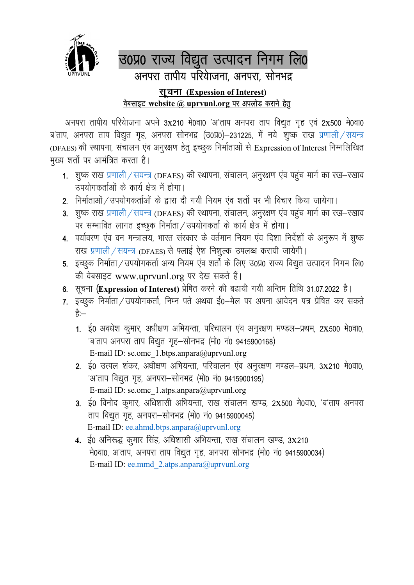

## उ०प्र० राज्य विद्युत उत्पादन निगम लि० अनपरा तापीय परियाजना, अनपरा, सोनभद्र <u>सूचना (Expession of Interest)</u> वेबसाइट website @ uprvunl.org पर अपलोड कराने हेतु

अनपरा तापीय परियाजना अपने 3x210 मे0वा0 'अ'ताप अनपरा ताप विद्युत गृह एवं 2x500 मे0वा0 ब'ताप, अनपरा ताप विद्युत गृह, अनपरा सोनभद्र (उ0प्र0)–231225, में नये शुष्क राख प्रणाली / सयन्त्र (DFAES) की स्थापना, संचालन एंव अनुरक्षण हेतू इच्छुक निर्माताओं से Expression of Interest निम्नलिखित मुख्य शर्तो पर आमंत्रित करता है।

- 1. शुष्क राख प्रणाली / सयन्त्र (DFAES) की स्थापना, संचालन, अनुरक्षण एंव पहुंच मार्ग का रख–रखाव उपयोगकर्ताओं के कार्य क्षेत्र में होगा।
- 2. निर्माताओं / उपयोगकर्ताओं के द्वारा दी गयी नियम एंव शर्तो पर भी विचार किया जायेगा।
- 3. शुष्क राख प्रणाली / सयन्त्र (DFAES) की स्थापना, संचालन, अनुरक्षण एंव पहुंच मार्ग का रख–रखाव पर सम्भावित लागत इच्छूक निर्माता / उपयोगकर्ता के कार्य क्षेत्र में होगा।
- 4. पर्यावरण एंव वन मन्त्रालय, भारत संरकार के वर्तमान नियम एंव दिशा निर्देशों के अनुरूप में शुष्क राख प्रणाली / सयन्त्र (DFAES) से फ्लाई ऐश निशुल्क उपलब्ध करायी जायेगी।
- 5. इच्छुक निर्माता / उपयोगकर्ता अन्य नियम एंव शर्तो के लिए उ0प्र0 राज्य विद्युत उत्पादन निगम लि0 की वेबसाइट www.uprvunl.org पर देख सकते हैं।
- 6. सूचना (Expression of Interest) प्रेषित करने की बढायी गयी अन्तिम तिथि 31.07.2022 है।
- 7. इच्छुक निर्माता / उपयोगकर्ता, निम्न पते अथवा ई0-मेल पर अपना आवेदन पत्र प्रेषित कर सकते है:—
	- 1. ई0 अवधेश कुमार, अधीक्षण अभियन्ता, परिचालन एंव अनुरक्षण मण्डल-प्रथम, 2X500 मे0वा0, 'ब'ताप अनपरा ताप विद्युत गृह-सोनभद्र (मो0 नं0 9415900168) E-mail ID: se.omc\_1.btps.anpara@uprvunl.org
	- 2. ई0 उत्पल शंकर, अधीक्षण अभियन्ता, परिचालन एंव अनुरक्षण मण्डल–प्रथम, 3X210 मे0वा0, 'अ'ताप विद्युत गृह, अनपरा-सोनभद्र (मो0 नं0 9415900195) E-mail ID: se.omc\_1.atps.anpara@uprvunl.org
	- 3. ई0 विनोद कुमार, अधिशासी अभियन्ता, राख संचालन खण्ड, 2X500 मे0वा0, 'ब'ताप अनपरा ताप विद्युत गृह, अनपरा-सोनभद्र (मो0 नं0 9415900045) E-mail ID: ee.ahmd.btps.anpara@uprvunl.org
	- 4. ई0 अनिरूद्ध कुमार सिंह, अधिशासी अभियन्ता, राख संचालन खण्ड, 3X210 मे0वा0, अ'ताप, अनपरा ताप विद्युत गृह, अनपरा सोनभद्र (मो0 नं0 9415900034) E-mail ID: ee.mmd 2.atps.anpara@uprvunl.org